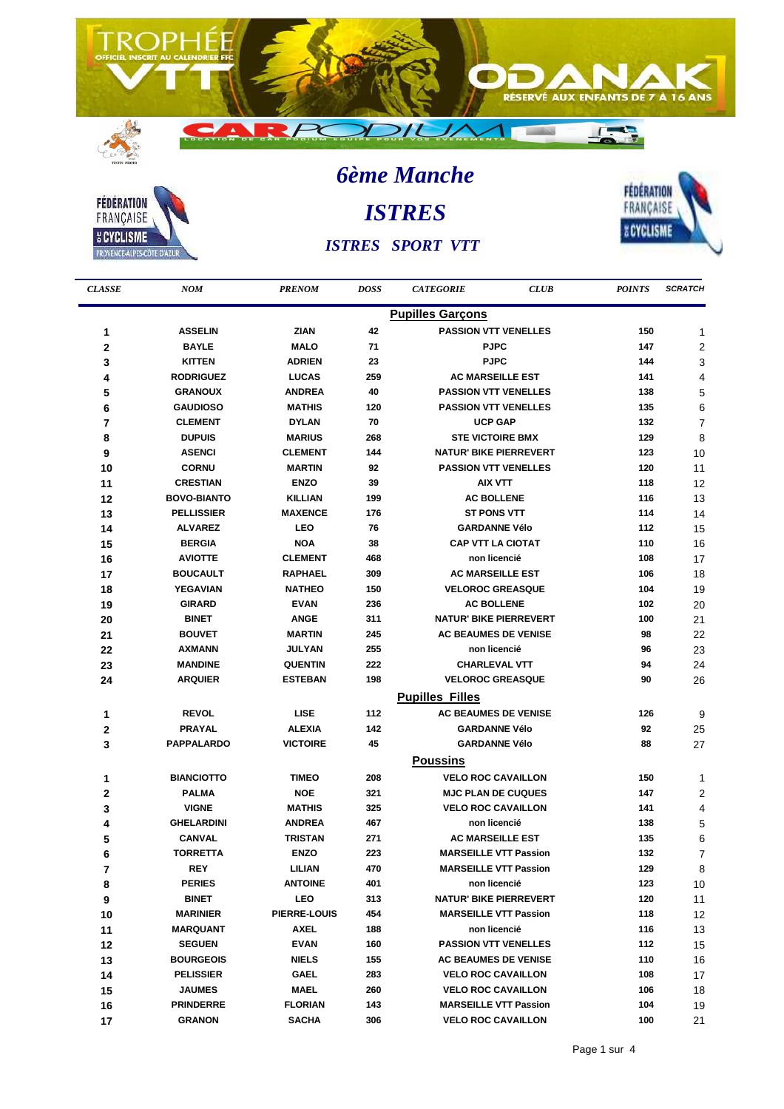



j.

 $15$ 

 $16$ 

 $17$ 

**JAUMES** 

**PRINDERRE** 

**GRANON** 

**MAEL** 

**FLORIAN** 

**SACHA** 

260

143

306

**6ème Manche ISTRES ISTRES SPORT VTT** 



| <b>CLASSE</b>  | <b>NOM</b>         | <b>PRENOM</b>   | <b>DOSS</b> | <b>CATEGORIE</b>              | <b>CLUB</b> | <b>POINTS</b> | <b>SCRATCH</b> |
|----------------|--------------------|-----------------|-------------|-------------------------------|-------------|---------------|----------------|
|                |                    |                 |             | <b>Pupilles Garçons</b>       |             |               |                |
| 1              | <b>ASSELIN</b>     | <b>ZIAN</b>     | 42          | <b>PASSION VTT VENELLES</b>   |             | 150           | 1              |
| 2              | <b>BAYLE</b>       | <b>MALO</b>     | 71          | <b>PJPC</b>                   |             | 147           | 2              |
| 3              | <b>KITTEN</b>      | <b>ADRIEN</b>   | 23          | <b>PJPC</b>                   |             | 144           | 3              |
| 4              | <b>RODRIGUEZ</b>   | <b>LUCAS</b>    | 259         | <b>AC MARSEILLE EST</b>       |             | 141           | 4              |
| 5              | <b>GRANOUX</b>     | <b>ANDREA</b>   | 40          | <b>PASSION VTT VENELLES</b>   |             | 138           | 5              |
| 6              | <b>GAUDIOSO</b>    | <b>MATHIS</b>   | 120         | <b>PASSION VTT VENELLES</b>   |             | 135           | 6              |
| $\overline{7}$ | <b>CLEMENT</b>     | <b>DYLAN</b>    | 70          | <b>UCP GAP</b>                |             | 132           | $\overline{7}$ |
| 8              | <b>DUPUIS</b>      | <b>MARIUS</b>   | 268         | <b>STE VICTOIRE BMX</b>       |             | 129           | 8              |
| 9              | <b>ASENCI</b>      | <b>CLEMENT</b>  | 144         | <b>NATUR' BIKE PIERREVERT</b> |             | 123           | 10             |
| 10             | <b>CORNU</b>       | <b>MARTIN</b>   | 92          | <b>PASSION VTT VENELLES</b>   |             | 120           | 11             |
| 11             | <b>CRESTIAN</b>    | <b>ENZO</b>     | 39          | <b>AIX VTT</b>                |             | 118           | 12             |
| 12             | <b>BOVO-BIANTO</b> | <b>KILLIAN</b>  | 199         | <b>AC BOLLENE</b>             |             | 116           | 13             |
| 13             | <b>PELLISSIER</b>  | <b>MAXENCE</b>  | 176         | <b>ST PONS VTT</b>            |             | 114           | 14             |
| 14             | <b>ALVAREZ</b>     | <b>LEO</b>      | 76          | <b>GARDANNE Vélo</b>          |             | 112           | 15             |
| 15             | <b>BERGIA</b>      | <b>NOA</b>      | 38          | <b>CAP VTT LA CIOTAT</b>      |             | 110           | 16             |
| 16             | <b>AVIOTTE</b>     | <b>CLEMENT</b>  | 468         | non licencié                  |             | 108           | 17             |
| 17             | <b>BOUCAULT</b>    | <b>RAPHAEL</b>  | 309         | <b>AC MARSEILLE EST</b>       |             | 106           | 18             |
| 18             | YEGAVIAN           | <b>NATHEO</b>   | 150         | <b>VELOROC GREASQUE</b>       |             | 104           | 19             |
| 19             | <b>GIRARD</b>      | <b>EVAN</b>     | 236         | <b>AC BOLLENE</b>             |             | 102           | 20             |
| 20             | <b>BINET</b>       | <b>ANGE</b>     | 311         | <b>NATUR' BIKE PIERREVERT</b> |             | 100           | 21             |
| 21             | <b>BOUVET</b>      | <b>MARTIN</b>   | 245         | <b>AC BEAUMES DE VENISE</b>   |             | 98            | 22             |
| 22             | <b>AXMANN</b>      | JULYAN          | 255         | non licencié                  |             | 96            | 23             |
| 23             | <b>MANDINE</b>     | <b>QUENTIN</b>  | 222         | <b>CHARLEVAL VTT</b>          |             | 94            | 24             |
| 24             | <b>ARQUIER</b>     | <b>ESTEBAN</b>  | 198         | <b>VELOROC GREASQUE</b>       |             | 90            | 26             |
|                |                    |                 |             | <b>Pupilles Filles</b>        |             |               |                |
| 1              | <b>REVOL</b>       | <b>LISE</b>     | 112         | <b>AC BEAUMES DE VENISE</b>   |             | 126           | 9              |
| 2              | <b>PRAYAL</b>      | <b>ALEXIA</b>   | 142         | <b>GARDANNE Vélo</b>          |             | 92            | 25             |
| 3              | <b>PAPPALARDO</b>  | <b>VICTOIRE</b> | 45          | <b>GARDANNE Vélo</b>          |             | 88            | 27             |
|                |                    |                 |             | <b>Poussins</b>               |             |               |                |
| 1              | <b>BIANCIOTTO</b>  | <b>TIMEO</b>    | 208         | <b>VELO ROC CAVAILLON</b>     |             | 150           | 1              |
| 2              | <b>PALMA</b>       | <b>NOE</b>      | 321         | <b>MJC PLAN DE CUQUES</b>     |             | 147           | $\overline{c}$ |
| 3              | <b>VIGNE</b>       | <b>MATHIS</b>   | 325         | <b>VELO ROC CAVAILLON</b>     |             | 141           | 4              |
| 4              | <b>GHELARDINI</b>  | <b>ANDREA</b>   | 467         | non licencié                  |             | 138           | 5              |
| 5              | <b>CANVAL</b>      | <b>TRISTAN</b>  | 271         | <b>AC MARSEILLE EST</b>       |             | 135           | 6              |
| 6              | <b>TORRETTA</b>    | <b>ENZO</b>     | 223         | <b>MARSEILLE VTT Passion</b>  |             | 132           | 7              |
| 7              | <b>REY</b>         | LILIAN          | 470         | <b>MARSEILLE VTT Passion</b>  |             | 129           | 8              |
| 8              | <b>PERIES</b>      | <b>ANTOINE</b>  | 401         | non licencié                  |             | 123           | 10             |
| 9              | <b>BINET</b>       | <b>LEO</b>      | 313         | <b>NATUR' BIKE PIERREVERT</b> |             | 120           | 11             |
| 10             | <b>MARINIER</b>    | PIERRE-LOUIS    | 454         | <b>MARSEILLE VTT Passion</b>  |             | 118           | 12             |
| 11             | <b>MARQUANT</b>    | <b>AXEL</b>     | 188         | non licencié                  |             | 116           | 13             |
| 12             | <b>SEGUEN</b>      | <b>EVAN</b>     | 160         | <b>PASSION VTT VENELLES</b>   |             | 112           | 15             |
| 13             | <b>BOURGEOIS</b>   | <b>NIELS</b>    | 155         | <b>AC BEAUMES DE VENISE</b>   |             | 110           | 16             |
| 14             | <b>PELISSIER</b>   | <b>GAEL</b>     | 283         | <b>VELO ROC CAVAILLON</b>     |             | 108           | 17             |

106

104

100

18

19

 $21$ 

**VELO ROC CAVAILLON** 

**MARSEILLE VTT Passion** 

**VELO ROC CAVAILLON**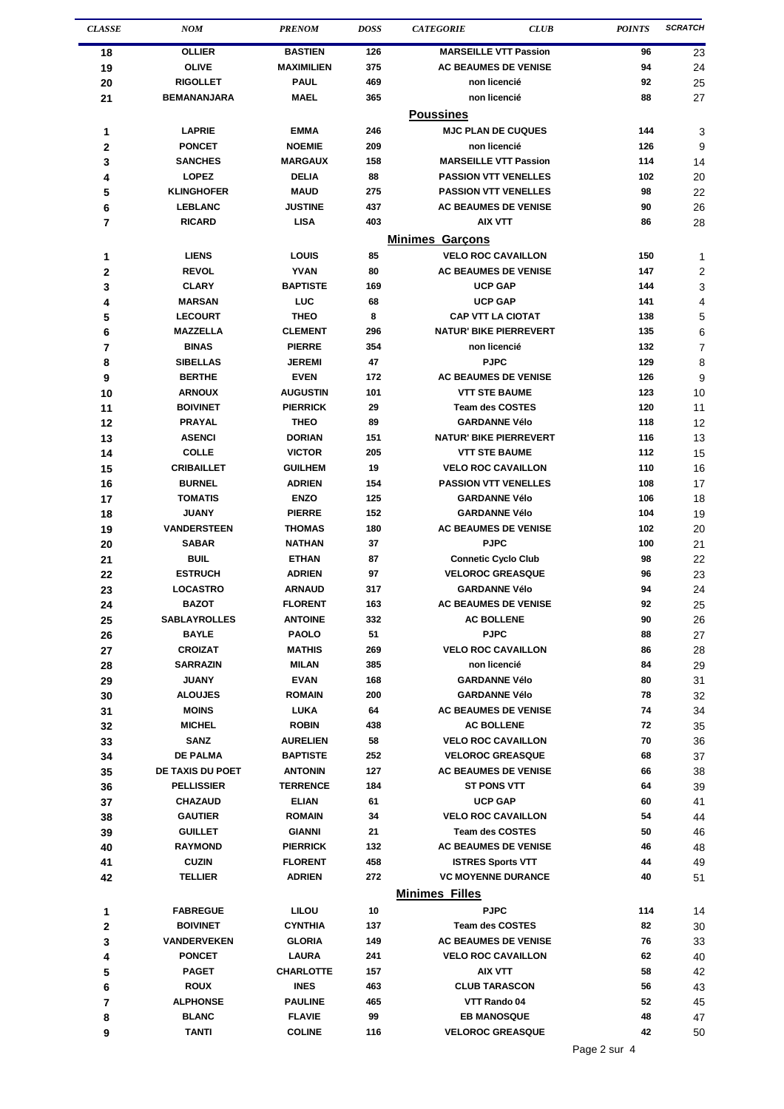| <b>CLASSE</b>  | <b>NOM</b>                         | <b>PRENOM</b>                   | <b>DOSS</b> | <b>CATEGORIE</b>                           | <b>CLUB</b> | <b>POINTS</b> | <b>SCRATCH</b> |  |
|----------------|------------------------------------|---------------------------------|-------------|--------------------------------------------|-------------|---------------|----------------|--|
| 18             | <b>OLLIER</b>                      | <b>BASTIEN</b>                  | 126         | <b>MARSEILLE VTT Passion</b>               |             | 96            | 23             |  |
| 19             | <b>OLIVE</b>                       | <b>MAXIMILIEN</b>               | 375         | <b>AC BEAUMES DE VENISE</b>                |             | 94            | 24             |  |
| 20             | <b>RIGOLLET</b>                    | <b>PAUL</b>                     | 469         | non licencié                               |             | 92            | 25             |  |
| 21             | <b>BEMANANJARA</b>                 | <b>MAEL</b>                     | 365         | non licencié                               |             | 88            | 27             |  |
|                | <b>Poussines</b>                   |                                 |             |                                            |             |               |                |  |
| 1              | <b>LAPRIE</b>                      | <b>EMMA</b>                     | 246         | <b>MJC PLAN DE CUQUES</b>                  |             | 144           | 3              |  |
| $\mathbf 2$    | <b>PONCET</b>                      | <b>NOEMIE</b>                   | 209         | non licencié                               |             | 126           | 9              |  |
| 3              | <b>SANCHES</b>                     | <b>MARGAUX</b>                  | 158         | <b>MARSEILLE VTT Passion</b>               |             | 114           | 14             |  |
| 4              | <b>LOPEZ</b>                       | <b>DELIA</b>                    | 88          | <b>PASSION VTT VENELLES</b>                |             | 102           | 20             |  |
| 5              | <b>KLINGHOFER</b>                  | <b>MAUD</b>                     | 275         | <b>PASSION VTT VENELLES</b>                |             | 98            | 22             |  |
| 6              | <b>LEBLANC</b>                     | <b>JUSTINE</b>                  | 437         | <b>AC BEAUMES DE VENISE</b>                |             | 90            | 26             |  |
| 7              | <b>RICARD</b>                      | <b>LISA</b>                     | 403         | <b>AIX VTT</b>                             |             | 86            | 28             |  |
|                |                                    |                                 |             | <b>Minimes Garcons</b>                     |             |               |                |  |
| 1              | <b>LIENS</b>                       | LOUIS                           | 85          | <b>VELO ROC CAVAILLON</b>                  |             | 150           | 1              |  |
| 2              | <b>REVOL</b>                       | <b>YVAN</b>                     | 80          | <b>AC BEAUMES DE VENISE</b>                |             | 147           | 2              |  |
| 3              | <b>CLARY</b>                       | <b>BAPTISTE</b>                 | 169         | <b>UCP GAP</b>                             |             | 144           | 3              |  |
| 4              | <b>MARSAN</b>                      | LUC                             | 68          | <b>UCP GAP</b>                             |             | 141           | 4              |  |
| 5              | <b>LECOURT</b>                     | <b>THEO</b>                     | 8           | <b>CAP VTT LA CIOTAT</b>                   |             | 138           | 5              |  |
| 6              | <b>MAZZELLA</b>                    | <b>CLEMENT</b>                  | 296         | <b>NATUR' BIKE PIERREVERT</b>              |             | 135           | 6              |  |
| 7              | <b>BINAS</b>                       | <b>PIERRE</b>                   | 354         | non licencié                               |             | 132           | 7              |  |
| 8              | <b>SIBELLAS</b>                    | <b>JEREMI</b>                   | 47          | <b>PJPC</b>                                |             | 129           | 8              |  |
| 9              | <b>BERTHE</b>                      | <b>EVEN</b>                     | 172         | <b>AC BEAUMES DE VENISE</b>                |             | 126           | 9              |  |
| 10             | <b>ARNOUX</b>                      | <b>AUGUSTIN</b>                 | 101         | <b>VTT STE BAUME</b>                       |             | 123           | 10             |  |
| 11             | <b>BOIVINET</b>                    | <b>PIERRICK</b>                 | 29          | <b>Team des COSTES</b>                     |             | 120           | 11             |  |
| 12             | <b>PRAYAL</b>                      | <b>THEO</b>                     | 89          | <b>GARDANNE Vélo</b>                       |             | 118           | 12             |  |
| 13             | <b>ASENCI</b>                      | <b>DORIAN</b>                   | 151         | <b>NATUR' BIKE PIERREVERT</b>              |             | 116           | 13             |  |
| 14             | <b>COLLE</b>                       | <b>VICTOR</b>                   | 205         | <b>VTT STE BAUME</b>                       |             | 112           | 15             |  |
| 15             | <b>CRIBAILLET</b>                  | <b>GUILHEM</b>                  | 19          | <b>VELO ROC CAVAILLON</b>                  |             | 110           | 16             |  |
| 16             | <b>BURNEL</b>                      | <b>ADRIEN</b>                   | 154         | <b>PASSION VTT VENELLES</b>                |             | 108           | 17             |  |
| 17             | <b>TOMATIS</b>                     | <b>ENZO</b>                     | 125         | <b>GARDANNE Vélo</b>                       |             | 106           | 18             |  |
| 18             | <b>JUANY</b>                       | <b>PIERRE</b>                   | 152         | <b>GARDANNE Vélo</b>                       |             | 104           | 19             |  |
| 19             | <b>VANDERSTEEN</b><br><b>SABAR</b> | <b>THOMAS</b><br><b>NATHAN</b>  | 180         | <b>AC BEAUMES DE VENISE</b><br><b>PJPC</b> |             | 102           | 20             |  |
| 20             | <b>BUIL</b>                        | <b>ETHAN</b>                    | 37<br>87    | <b>Connetic Cyclo Club</b>                 |             | 100<br>98     | 21             |  |
| 21<br>22       | <b>ESTRUCH</b>                     | <b>ADRIEN</b>                   | 97          | <b>VELOROC GREASQUE</b>                    |             | 96            | 22<br>23       |  |
| 23             | <b>LOCASTRO</b>                    | <b>ARNAUD</b>                   | 317         | <b>GARDANNE Vélo</b>                       |             | 94            | 24             |  |
| 24             | <b>BAZOT</b>                       | <b>FLORENT</b>                  | 163         | <b>AC BEAUMES DE VENISE</b>                |             | 92            | 25             |  |
| 25             | <b>SABLAYROLLES</b>                | <b>ANTOINE</b>                  | 332         | <b>AC BOLLENE</b>                          |             | 90            | 26             |  |
| 26             | <b>BAYLE</b>                       | <b>PAOLO</b>                    | 51          | <b>PJPC</b>                                |             | 88            | 27             |  |
| 27             | <b>CROIZAT</b>                     | MATHIS                          | 269         | <b>VELO ROC CAVAILLON</b>                  |             | 86            | 28             |  |
| 28             | <b>SARRAZIN</b>                    | <b>MILAN</b>                    | 385         | non licencié                               |             | 84            | 29             |  |
| 29             | JUANY                              | <b>EVAN</b>                     | 168         | <b>GARDANNE Vélo</b>                       |             | 80            | 31             |  |
| 30             | <b>ALOUJES</b>                     | <b>ROMAIN</b>                   | 200         | <b>GARDANNE Vélo</b>                       |             | 78            | 32             |  |
| 31             | <b>MOINS</b>                       | LUKA                            | 64          | <b>AC BEAUMES DE VENISE</b>                |             | 74            | 34             |  |
| 32             | <b>MICHEL</b>                      | <b>ROBIN</b>                    | 438         | <b>AC BOLLENE</b>                          |             | 72            | 35             |  |
| 33             | <b>SANZ</b>                        | <b>AURELIEN</b>                 | 58          | <b>VELO ROC CAVAILLON</b>                  |             | 70            | 36             |  |
| 34             | <b>DE PALMA</b>                    | <b>BAPTISTE</b>                 | 252         | <b>VELOROC GREASQUE</b>                    |             | 68            | 37             |  |
| 35             | <b>DE TAXIS DU POET</b>            | <b>ANTONIN</b>                  | 127         | <b>AC BEAUMES DE VENISE</b>                |             | 66            | 38             |  |
| 36             | <b>PELLISSIER</b>                  | <b>TERRENCE</b>                 | 184         | <b>ST PONS VTT</b>                         |             | 64            | 39             |  |
| 37             | <b>CHAZAUD</b>                     | <b>ELIAN</b>                    | 61          | <b>UCP GAP</b>                             |             | 60            | 41             |  |
| 38             | <b>GAUTIER</b>                     | <b>ROMAIN</b>                   | 34          | <b>VELO ROC CAVAILLON</b>                  |             | 54            | 44             |  |
| 39             | <b>GUILLET</b>                     | <b>GIANNI</b>                   | 21          | <b>Team des COSTES</b>                     |             | 50            | 46             |  |
| 40             | <b>RAYMOND</b>                     | <b>PIERRICK</b>                 | 132         | <b>AC BEAUMES DE VENISE</b>                |             | 46            | 48             |  |
| 41             | <b>CUZIN</b>                       | <b>FLORENT</b>                  | 458         | <b>ISTRES Sports VTT</b>                   |             | 44            | 49             |  |
| 42             | <b>TELLIER</b>                     | <b>ADRIEN</b>                   | 272         | <b>VC MOYENNE DURANCE</b>                  |             | 40            | 51             |  |
|                |                                    |                                 |             | <b>Minimes Filles</b>                      |             |               |                |  |
| 1              | <b>FABREGUE</b>                    | <b>LILOU</b>                    | 10          | <b>PJPC</b>                                |             | 114           | 14             |  |
| $\mathbf 2$    | <b>BOIVINET</b>                    | <b>CYNTHIA</b>                  | 137         | <b>Team des COSTES</b>                     |             | 82            | 30             |  |
| 3              | VANDERVEKEN                        | <b>GLORIA</b>                   | 149         | <b>AC BEAUMES DE VENISE</b>                |             | 76            | 33             |  |
| 4              | <b>PONCET</b>                      | <b>LAURA</b>                    | 241         | <b>VELO ROC CAVAILLON</b>                  |             | 62            | 40             |  |
| 5              | <b>PAGET</b>                       | <b>CHARLOTTE</b>                | 157         | AIX VTT                                    |             | 58            | 42             |  |
| 6              | <b>ROUX</b>                        | <b>INES</b>                     | 463         | <b>CLUB TARASCON</b>                       |             | 56            | 43             |  |
| $\overline{7}$ | <b>ALPHONSE</b><br><b>BLANC</b>    | <b>PAULINE</b><br><b>FLAVIE</b> | 465<br>99   | VTT Rando 04<br><b>EB MANOSQUE</b>         |             | 52<br>48      | 45             |  |
| 8              | TANTI                              | <b>COLINE</b>                   | 116         | <b>VELOROC GREASQUE</b>                    |             | 42            | 47             |  |
| 9              |                                    |                                 |             |                                            |             |               | 50             |  |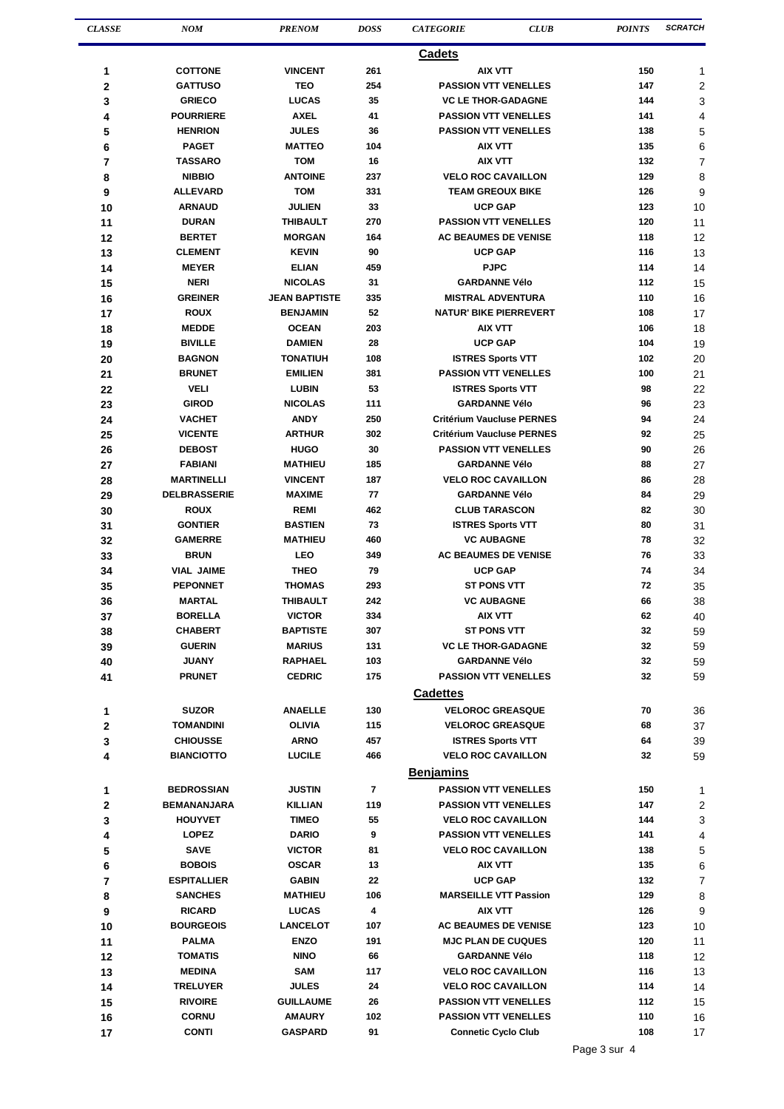| <b>CLASSE</b> | <b>NOM</b>                   | <b>PRENOM</b>                    | <b>DOSS</b>    | <b>CATEGORIE</b>                                        | <b>CLUB</b><br><b>POINTS</b> | SCRATCH        |
|---------------|------------------------------|----------------------------------|----------------|---------------------------------------------------------|------------------------------|----------------|
|               |                              |                                  |                | <b>Cadets</b>                                           |                              |                |
| 1             | <b>COTTONE</b>               | <b>VINCENT</b>                   | 261            | <b>AIX VTT</b>                                          | 150                          | 1              |
| $\mathbf 2$   | <b>GATTUSO</b>               | <b>TEO</b>                       | 254            | <b>PASSION VTT VENELLES</b>                             | 147                          | $\overline{2}$ |
| 3             | <b>GRIECO</b>                | <b>LUCAS</b>                     | 35             | <b>VC LE THOR-GADAGNE</b>                               | 144                          | 3              |
| 4             | <b>POURRIERE</b>             | <b>AXEL</b>                      | 41             | <b>PASSION VTT VENELLES</b>                             | 141                          | 4              |
| 5             | <b>HENRION</b>               | <b>JULES</b>                     | 36             | <b>PASSION VTT VENELLES</b>                             | 138                          | 5              |
| 6             | <b>PAGET</b>                 | <b>MATTEO</b>                    | 104            | <b>AIX VTT</b>                                          | 135                          | 6              |
| 7             | <b>TASSARO</b>               | <b>TOM</b>                       | 16             | <b>AIX VTT</b>                                          | 132                          | 7              |
| 8             | <b>NIBBIO</b>                | <b>ANTOINE</b>                   | 237            | <b>VELO ROC CAVAILLON</b>                               | 129                          | 8              |
| 9             | <b>ALLEVARD</b>              | <b>TOM</b>                       | 331            | <b>TEAM GREOUX BIKE</b>                                 | 126                          | 9              |
| 10            | <b>ARNAUD</b>                | <b>JULIEN</b>                    | 33             | <b>UCP GAP</b>                                          | 123                          | 10             |
| 11            | <b>DURAN</b>                 | <b>THIBAULT</b>                  | 270            | <b>PASSION VTT VENELLES</b>                             | 120                          | 11             |
| 12            | <b>BERTET</b>                | <b>MORGAN</b>                    | 164            | <b>AC BEAUMES DE VENISE</b>                             | 118                          | 12             |
| 13            | <b>CLEMENT</b>               | <b>KEVIN</b>                     | 90             | <b>UCP GAP</b>                                          | 116                          | 13             |
| 14            | <b>MEYER</b>                 | <b>ELIAN</b>                     | 459            | <b>PJPC</b>                                             | 114                          | 14             |
| 15            | <b>NERI</b>                  | <b>NICOLAS</b>                   | 31             | <b>GARDANNE Vélo</b>                                    | 112                          | 15             |
| 16            | <b>GREINER</b>               | <b>JEAN BAPTISTE</b>             | 335            | <b>MISTRAL ADVENTURA</b>                                | 110                          | 16             |
| 17            | <b>ROUX</b>                  | <b>BENJAMIN</b>                  | 52             | <b>NATUR' BIKE PIERREVERT</b>                           | 108                          | 17             |
| 18            | <b>MEDDE</b>                 | <b>OCEAN</b>                     | 203            | <b>AIX VTT</b><br><b>UCP GAP</b>                        | 106                          | 18             |
| 19            | <b>BIVILLE</b>               | <b>DAMIEN</b><br><b>TONATIUH</b> | 28<br>108      |                                                         | 104<br>102                   | 19             |
| 20            | <b>BAGNON</b>                |                                  | 381            | <b>ISTRES Sports VTT</b>                                | 100                          | 20             |
| 21            | <b>BRUNET</b><br><b>VELI</b> | <b>EMILIEN</b><br><b>LUBIN</b>   | 53             | <b>PASSION VTT VENELLES</b><br><b>ISTRES Sports VTT</b> | 98                           | 21<br>22       |
| 22<br>23      | GIROD                        | <b>NICOLAS</b>                   | 111            | <b>GARDANNE Vélo</b>                                    | 96                           | 23             |
| 24            | <b>VACHET</b>                | <b>ANDY</b>                      | 250            | <b>Critérium Vaucluse PERNES</b>                        | 94                           | 24             |
| 25            | <b>VICENTE</b>               | <b>ARTHUR</b>                    | 302            | <b>Critérium Vaucluse PERNES</b>                        | 92                           | 25             |
| 26            | <b>DEBOST</b>                | <b>HUGO</b>                      | 30             | <b>PASSION VTT VENELLES</b>                             | 90                           | 26             |
| 27            | <b>FABIANI</b>               | <b>MATHIEU</b>                   | 185            | <b>GARDANNE Vélo</b>                                    | 88                           | 27             |
| 28            | <b>MARTINELLI</b>            | <b>VINCENT</b>                   | 187            | <b>VELO ROC CAVAILLON</b>                               | 86                           | 28             |
| 29            | <b>DELBRASSERIE</b>          | <b>MAXIME</b>                    | 77             | <b>GARDANNE Vélo</b>                                    | 84                           | 29             |
| 30            | <b>ROUX</b>                  | <b>REMI</b>                      | 462            | <b>CLUB TARASCON</b>                                    | 82                           | 30             |
| 31            | <b>GONTIER</b>               | <b>BASTIEN</b>                   | 73             | <b>ISTRES Sports VTT</b>                                | 80                           | 31             |
| 32            | <b>GAMERRE</b>               | <b>MATHIEU</b>                   | 460            | <b>VC AUBAGNE</b>                                       | 78                           | 32             |
| 33            | <b>BRUN</b>                  | <b>LEO</b>                       | 349            | <b>AC BEAUMES DE VENISE</b>                             | 76                           | 33             |
| 34            | <b>VIAL JAIME</b>            | <b>THEO</b>                      | 79             | <b>UCP GAP</b>                                          | 74                           | 34             |
| 35            | <b>PEPONNET</b>              | <b>THOMAS</b>                    | 293            | <b>ST PONS VTT</b>                                      | 72                           | 35             |
| 36            | <b>MARTAL</b>                | <b>THIBAULT</b>                  | 242            | <b>VC AUBAGNE</b>                                       | 66                           | 38             |
| 37            | <b>BORELLA</b>               | <b>VICTOR</b>                    | 334            | <b>AIX VTT</b>                                          | 62                           | 40             |
| 38            | <b>CHABERT</b>               | <b>BAPTISTE</b>                  | 307            | <b>ST PONS VTT</b>                                      | 32                           | 59             |
| 39            | <b>GUERIN</b>                | <b>MARIUS</b>                    | 131            | <b>VC LE THOR-GADAGNE</b>                               | 32                           | 59             |
| 40            | JUANY                        | RAPHAEL                          | 103            | <b>GARDANNE Vélo</b>                                    | 32                           | 59             |
| 41            | <b>PRUNET</b>                | <b>CEDRIC</b>                    | 175            | <b>PASSION VTT VENELLES</b>                             | 32                           | 59             |
|               |                              |                                  |                | <b>Cadettes</b>                                         |                              |                |
| 1             | <b>SUZOR</b>                 | <b>ANAELLE</b>                   | 130            | <b>VELOROC GREASQUE</b>                                 | 70                           | 36             |
| $\mathbf 2$   | <b>TOMANDINI</b>             | OLIVIA                           | 115            | <b>VELOROC GREASQUE</b>                                 | 68                           | 37             |
| 3             | <b>CHIOUSSE</b>              | <b>ARNO</b>                      | 457            | <b>ISTRES Sports VTT</b>                                | 64                           | 39             |
| 4             | <b>BIANCIOTTO</b>            | <b>LUCILE</b>                    | 466            | <b>VELO ROC CAVAILLON</b>                               | 32                           | 59             |
|               |                              |                                  |                | <b>Benjamins</b>                                        |                              |                |
| 1             | <b>BEDROSSIAN</b>            | <b>JUSTIN</b>                    | $\overline{7}$ | <b>PASSION VTT VENELLES</b>                             | 150                          | 1              |
| $\mathbf 2$   | <b>BEMANANJARA</b>           | <b>KILLIAN</b>                   | 119            | <b>PASSION VTT VENELLES</b>                             | 147                          | 2              |
| 3             | <b>HOUYVET</b>               | <b>TIMEO</b>                     | 55             | <b>VELO ROC CAVAILLON</b>                               | 144                          | 3              |
| 4             | <b>LOPEZ</b>                 | <b>DARIO</b>                     | 9              | <b>PASSION VTT VENELLES</b>                             | 141                          | 4              |
| 5             | <b>SAVE</b>                  | <b>VICTOR</b>                    | 81             | <b>VELO ROC CAVAILLON</b>                               | 138                          | 5              |
| 6             | <b>BOBOIS</b>                | <b>OSCAR</b>                     | 13             | AIX VTT                                                 | 135                          | 6              |
| 7             | <b>ESPITALLIER</b>           | <b>GABIN</b>                     | 22             | <b>UCP GAP</b>                                          | 132                          | 7              |
| 8             | <b>SANCHES</b>               | <b>MATHIEU</b>                   | 106            | <b>MARSEILLE VTT Passion</b>                            | 129                          | 8              |
| 9             | <b>RICARD</b>                | <b>LUCAS</b>                     | 4              | <b>AIX VTT</b>                                          | 126                          | 9              |
| 10            | <b>BOURGEOIS</b>             | <b>LANCELOT</b>                  | 107            | <b>AC BEAUMES DE VENISE</b>                             | 123                          | 10             |
| 11            | <b>PALMA</b>                 | <b>ENZO</b>                      | 191            | <b>MJC PLAN DE CUQUES</b>                               | 120                          | 11             |
| 12            | <b>TOMATIS</b>               | <b>NINO</b>                      | 66             | <b>GARDANNE Vélo</b>                                    | 118                          | 12             |
| 13            | <b>MEDINA</b>                | SAM                              | 117            | <b>VELO ROC CAVAILLON</b>                               | 116                          | 13             |
| 14            | <b>TRELUYER</b>              | <b>JULES</b>                     | 24             | <b>VELO ROC CAVAILLON</b>                               | 114                          | 14             |
| 15            | <b>RIVOIRE</b>               | <b>GUILLAUME</b>                 | 26             | <b>PASSION VTT VENELLES</b>                             | 112                          | 15             |
| 16            | <b>CORNU</b>                 | <b>AMAURY</b>                    | 102            | <b>PASSION VTT VENELLES</b>                             | 110                          | 16             |
| 17            | <b>CONTI</b>                 | <b>GASPARD</b>                   | 91             | <b>Connetic Cyclo Club</b>                              | 108                          | 17             |